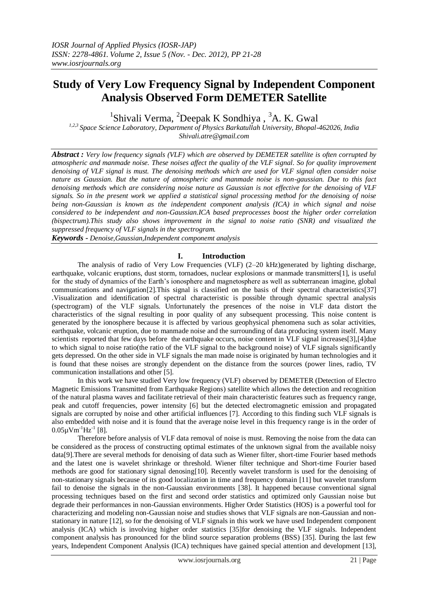# **Study of Very Low Frequency Signal by Independent Component Analysis Observed Form DEMETER Satellite**

 $1$ Shivali Verma,  $2$ Deepak K Sondhiya,  $3$ A. K. Gwal

*1,2,3 Space Science Laboratory, Department of Physics Barkatullah University, Bhopal-462026, India Shivali.atre@gmail.com*

*Abstract : Very low frequency signals (VLF) which are observed by DEMETER satellite is often corrupted by atmospheric and manmade noise. These noises affect the quality of the VLF signal. So for quality improvement denoising of VLF signal is must. The denoising methods which are used for VLF signal often consider noise nature as Gaussian. But the nature of atmospheric and manmade noise is non-gaussian. Due to this fact denoising methods which are considering noise nature as Gaussian is not effective for the denoising of VLF signals. So in the present work we applied a statistical signal processing method for the denoising of noise being non-Gaussian is known as the independent component analysis (ICA) in which signal and noise considered to be independent and non-Gaussian.ICA based preprocesses boost the higher order correlation (bispectrum).This study also shows improvement in the signal to noise ratio (SNR) and visualized the suppressed frequency of VLF signals in the spectrogram.*

*Keywords - Denoise,Gaussian,Independent componemt analysis*

## **I. Introduction**

The analysis of radio of Very Low Frequencies (VLF) (2–20 kHz)generated by lighting discharge, earthquake, volcanic eruptions, dust storm, tornadoes, nuclear explosions or manmade transmitters[1], is useful for the study of dynamics of the Earth's ionosphere and magnetosphere as well as subterranean imagine, global communications and navigation[2].This signal is classified on the basis of their spectral characteristics[37] .Visualization and identification of spectral characteristic is possible through dynamic spectral analysis (spectrogram) of the VLF signals. Unfortunately the presences of the noise in VLF data distort the characteristics of the signal resulting in poor quality of any subsequent processing. This noise content is generated by the ionosphere because it is affected by various geophysical phenomena such as solar activities, earthquake, volcanic eruption, due to manmade noise and the surrounding of data producing system itself. Many scientists reported that few days before the earthquake occurs, noise content in VLF signal increases[3],[4]due to which signal to noise ratio(the ratio of the VLF signal to the background noise) of VLF signals significantly gets depressed. On the other side in VLF signals the man made noise is originated by human technologies and it is found that these noises are strongly dependent on the distance from the sources (power lines, radio, TV communication installations and other [5].

In this work we have studied Very low frequency (VLF) observed by DEMETER (Detection of Electro Magnetic Emissions Transmitted from Earthquake Regions) satellite which allows the detection and recognition of the natural plasma waves and facilitate retrieval of their main characteristic features such as frequency range, peak and cutoff frequencies, power intensity [6] but the detected electromagnetic emission and propagated signals are corrupted by noise and other artificial influences [7]. According to this finding such VLF signals is also embedded with noise and it is found that the average noise level in this frequency range is in the order of  $0.05 \mu\text{Vm}^{-1}\text{Hz}^{-1}$  [8].

Therefore before analysis of VLF data removal of noise is must. Removing the noise from the data can be considered as the process of constructing optimal estimates of the unknown signal from the available noisy data[9].There are several methods for denoising of data such as Wiener filter, short-time Fourier based methods and the latest one is wavelet shrinkage or threshold. Wiener filter technique and Short-time Fourier based methods are good for stationary signal denosing[10]. Recently wavelet transform is used for the denoising of non-stationary signals because of its good localization in time and frequency domain [11] but wavelet transform fail to denoise the signals in the non-Gaussian environments [38]. It happened because conventional signal processing techniques based on the first and second order statistics and optimized only Gaussian noise but degrade their performances in non-Gaussian environments. Higher Order Statistics (HOS) is a powerful tool for characterizing and modeling non-Gaussian noise and studies shows that VLF signals are non-Gaussian and nonstationary in nature [12], so for the denoising of VLF signals in this work we have used Independent component analysis (ICA) which is involving higher order statistics [35]for denoising the VLF signals. Independent component analysis has pronounced for the blind source separation problems (BSS) [35]. During the last few years, Independent Component Analysis (ICA) techniques have gained special attention and development [13],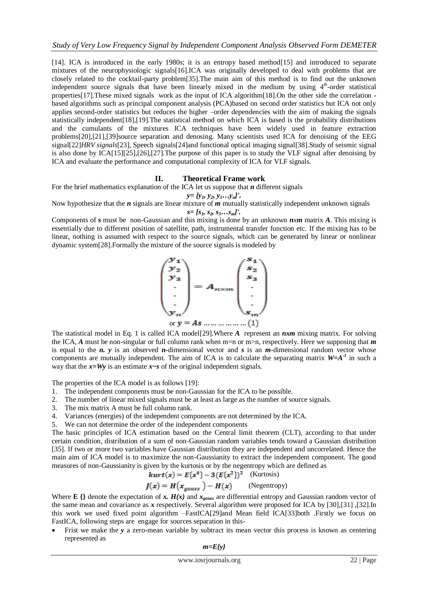[14]. ICA is introduced in the early 1980s; it is an entropy based method[15] and introduced to separate mixtures of the neurophysiologic signals[16].ICA was originally developed to deal with problems that are closely related to the cocktail-party problem[35].The main aim of this method is to find out the unknown independent source signals that have been linearly mixed in the medium by using 4<sup>th</sup>-order statistical properties[17].These mixed signals work as the input of ICA algorithm[18].On the other side the correlation based algorithms such as principal component analysis (PCA)based on second order statistics but ICA not only applies second-order statistics but reduces the higher –order dependencies with the aim of making the signals statistically independent[18],[19].The statistical method on which ICA is based is the probability distributions and the cumulants of the mixtures ICA techniques have been widely used in feature extraction problems[20],[21],[39]source separation and denosing. Many scientists used ICA for denoising of the EEG signal[22]*HRV signals*[23], Speech signals[24]and functional optical imaging signal[38].Study of seismic signal is also done by ICA[15][25],[26],[27].The purpose of this paper is to study the VLF signal after denoising by ICA and evaluate the performance and computational complexity of ICA for VLF signals.

#### **II. Theoretical Frame work**

For the brief mathematics explanation of the ICA let us suppose that *n* different signals

$$
y=[y_1, y_2, y_3 \ldots y_n].
$$

Now hypothesize that the *n* signals are linear mixture of *m* mutually statistically independent unknown signals

$$
s = [s_1, s_2, s_3...s_m]'
$$
.

Components of **s** must be non-Gaussian and this mixing is done by an unknown *nxm* matrix *A*. This mixing is essentially due to different position of satellite, path, instrumental transfer function etc. If the mixing has to be linear, nothing is assumed with respect to the source signals, which can be generated by linear or nonlinear dynamic system[28].Formally the mixture of the source signals is modeled by



The statistical model in Eq. 1 is called ICA model[29].Where *A* represent an *nxm* mixing matrix. For solving the ICA, *A* must be non-singular or full column rank when m=n or m>n, respectively. Here we supposing that *m*  is equal to the *n. y* is an observed *n-*dimensional vector and *s* is an *m*-dimensional random vector whose components are mutually independent. The aim of ICA is to calculate the separating matrix  $W=A^{-1}$  in such a way that the  $x=Wy$  is an estimate  $x \sim s$  of the original independent signals.

The properties of the ICA model is as follows [19]:

- 1. The independent components must be non-Gaussian for the ICA to be possible.
- 2. The number of linear mixed signals must be at least as large as the number of source signals.
- 3. The mix matrix A must be full column rank.
- 4. Variances (energies) of the independent components are not determined by the ICA.
- 5. We can not determine the order of the independent components

The basic principles of ICA estimation based on the Central limit theorem (CLT), according to that under certain condition, distribution of a sum of non-Gaussian random variables tends toward a Gaussian distribution [35]. If two or more two variables have Gaussian distribution they are independent and uncorrelated. Hence the main aim of ICA model is to maximize the non-Gaussianity to extract the independent component. The good measures of non-Gaussianity is given by the kurtosis or by the negentropy which are defined as

$$
kurt(x) = E\{x^4\} - 3(E\{x^2\})^2
$$
 (Kurtosis)

$$
J(x) = H\big(x_{gauss}\big) - H(x) \qquad \text{(Negentropy)}
$$

Where **E** {} denote the expectation of  $x$ .  $H(x)$  and  $x_{gauss}$  are differential entropy and Gaussian random vector of the same mean and covariance as *x* respectively. Several algorithm were proposed for ICA by [30],[31] ,[32].In this work we used fixed point algorithm –FastICA[29]and Mean field ICA[33]both .Firstly we focus on FastICA, following steps are engage for sources separation in this-

Frist we make the *y* a zero-mean variable by subtract its mean vector this process is known as centering represented as

*m=E{y}*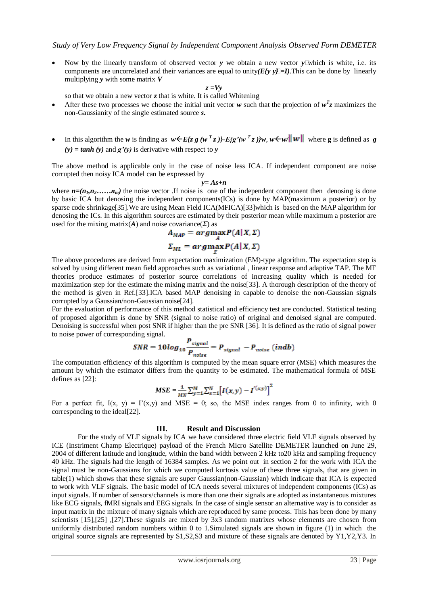Now by the linearly transform of observed vector  $\bf{y}$  we obtain a new vector  $\bf{y}$  which is white, i.e. its components are uncorrelated and their variances are equal to unity  $E f v v I = I$ ). This can be done by linearly multiplying *y* with some matrix *V*

$$
z=Vy
$$

so that we obtain a new vector *z* that is white. It is called Whitening

- After these two processes we choose the initial unit vector *w* such that the projection of  $w^T z$  maximizes the non-Gaussianity of the single estimated source *s***.**
- In this algorithm the *w* is finding as  $w \in E\{z g (w^T z)\} E\{g'(w^T z)\}w$ ,  $w \in w/\|w\|$  where g is defined as g  $(y) = \tanh(y)$  and  $g'(y)$  is derivative with respect to *y*

The above method is applicable only in the case of noise less ICA. If independent component are noise corrupted then noisy ICA model can be expressed by

$$
y = As+n
$$

where  $n=(n_1, n_2, \ldots, n_m)$  the noise vector. If noise is one of the independent component then denosing is done by basic ICA but denosing the independent components(ICs) is done by MAP(maximum a posterior) or by sparse code shrinkage[35]. We are using Mean Field ICA(MFICA)[33] which is based on the MAP algorithm for denosing the ICs. In this algorithm sources are estimated by their posterior mean while maximum a posterior are used for the mixing matrix( $\vec{A}$ ) and noise covariance( $\Sigma$ ) as

$$
A_{MAP} = arg \max_{A} P(A|X, \Sigma)
$$

$$
\Sigma_{ML} = arg \max_{\Sigma} P(A|X, \Sigma)
$$

The above procedures are derived from expectation maximization (EM)-type algorithm. The expectation step is solved by using different mean field approaches such as variational , linear response and adaptive TAP. The MF theories produce estimates of posterior source correlations of increasing quality which is needed for maximization step for the estimate the mixing matrix and the noise[33]. A thorough description of the theory of the method is given in Ref.[33].ICA based MAP denoising in capable to denoise the non-Gaussian signals corrupted by a Gaussian/non-Gaussian noise[24].

For the evaluation of performance of this method statistical and efficiency test are conducted. Statistical testing of proposed algorithm is done by SNR (signal to noise ratio) of original and denoised signal are computed. Denoising is successful when post SNR if higher than the pre SNR [36]. It is defined as the ratio of signal power to noise power of corresponding signal.

$$
SNR = 10log_{10} \frac{P_{signal}}{P_{noise}} = P_{signal} - P_{noise} (indb)
$$

The computation efficiency of this algorithm is computed by the mean square error (MSE) which measures the amount by which the estimator differs from the quantity to be estimated. The mathematical formula of MSE defines as [22]:

$$
MSE = \frac{1}{MN} \sum_{y=1}^{M} \sum_{x=1}^{N} [I(x, y) - I^{(x,y)}]^{2}
$$

For a perfect fit,  $I(x, y) = I'(x,y)$  and MSE = 0; so, the MSE index ranges from 0 to infinity, with 0 corresponding to the ideal[22].

#### **III. Result and Discussion**

For the study of VLF signals by ICA we have considered three electric field VLF signals observed by ICE (Instriment Champ Electrique) payload of the French Micro Satellite DEMETER launched on June 29, 2004 of different latitude and longitude, within the band width between 2 kHz to20 kHz and sampling frequency 40 kHz. The signals had the length of 16384 samples. As we point out in section 2 for the work with ICA the signal must be non-Gaussians for which we computed kurtosis value of these three signals, that are given in table(1) which shows that these signals are super Gaussian(non-Gaussian) which indicate that ICA is expected to work with VLF signals. The basic model of ICA needs several mixtures of independent components (ICs) as input signals. If number of sensors/channels is more than one their signals are adopted as instantaneous mixtures like ECG signals, fMRI signals and EEG signals. In the case of single sensor an alternative way is to consider as input matrix in the mixture of many signals which are reproduced by same process. This has been done by many scientists [15],[25] ,[27].These signals are mixed by 3x3 random matrixes whose elements are chosen from uniformly distributed random numbers within 0 to 1.Simulated signals are shown in figure (1) in which the original source signals are represented by S1,S2,S3 and mixture of these signals are denoted by Y1,Y2,Y3. In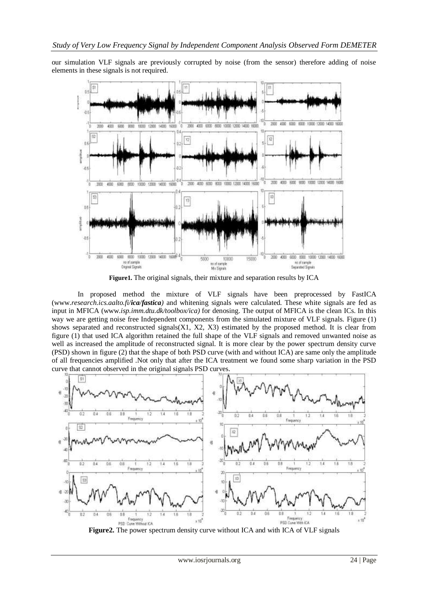our simulation VLF signals are previously corrupted by noise (from the sensor) therefore adding of noise elements in these signals is not required.



**Figure1.** The original signals, their mixture and separation results by ICA

In proposed method the mixture of VLF signals have been preprocessed by FastICA (www.*research.ics.aalto.fi/ica/fastica)* and whitening signals were calculated. These white signals are fed as input in MFICA (www.*isp.imm.dtu.dk/toolbox/ica)* for denosing. The output of MFICA is the clean ICs. In this way we are getting noise free Independent components from the simulated mixture of VLF signals. Figure (1) shows separated and reconstructed signals $(X1, X2, X3)$  estimated by the proposed method. It is clear from figure (1) that used ICA algorithm retained the full shape of the VLF signals and removed unwanted noise as well as increased the amplitude of reconstructed signal. It is more clear by the power spectrum density curve (PSD) shown in figure (2) that the shape of both PSD curve (with and without ICA) are same only the amplitude of all frequencies amplified .Not only that after the ICA treatment we found some sharp variation in the PSD curve that cannot observed in the original signals PSD curves.



**Figure2.** The power spectrum density curve without ICA and with ICA of VLF signals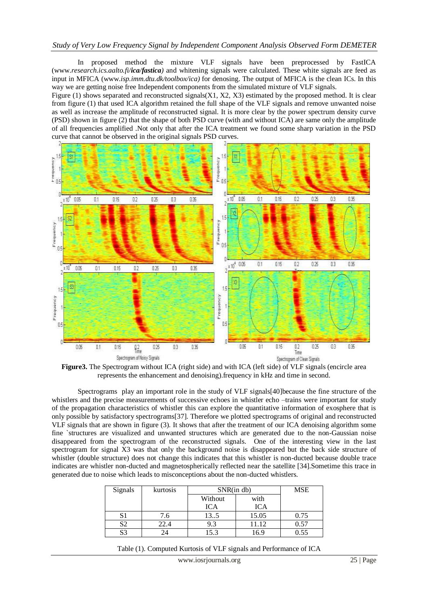## *Study of Very Low Frequency Signal by Independent Component Analysis Observed Form DEMETER*

In proposed method the mixture VLF signals have been preprocessed by FastICA (www.*research.ics.aalto.fi/ica/fastica)* and whitening signals were calculated. These white signals are feed as input in MFICA (www.*isp.imm.dtu.dk/toolbox/ica)* for denosing. The output of MFICA is the clean ICs. In this way we are getting noise free Independent components from the simulated mixture of VLF signals.

Figure (1) shows separated and reconstructed signals( $X1, X2, X3$ ) estimated by the proposed method. It is clear from figure (1) that used ICA algorithm retained the full shape of the VLF signals and remove unwanted noise as well as increase the amplitude of reconstructed signal. It is more clear by the power spectrum density curve (PSD) shown in figure (2) that the shape of both PSD curve (with and without ICA) are same only the amplitude of all frequencies amplified .Not only that after the ICA treatment we found some sharp variation in the PSD curve that cannot be observed in the original signals PSD curves.



**Figure3.** The Spectrogram without ICA (right side) and with ICA (left side) of VLF signals (encircle area represents the enhancement and denoising).frequency in kHz and time in second.

Spectrograms play an important role in the study of VLF signals[40]because the fine structure of the whistlers and the precise measurements of successive echoes in whistler echo –trains were important for study of the propagation characteristics of whistler this can explore the quantitative information of exosphere that is only possible by satisfactory spectrograms[37]. Therefore we plotted spectrograms of original and reconstructed VLF signals that are shown in figure (3). It shows that after the treatment of our ICA denoising algorithm some fine `structures are visualized and unwanted structures which are generated due to the non-Gaussian noise disappeared from the spectrogram of the reconstructed signals. One of the interesting view in the last spectrogram for signal X3 was that only the background noise is disappeared but the back side structure of whistler (double structure) does not change this indicates that this whistler is non-ducted because double trace indicates are whistler non-ducted and magnetospherically reflected near the satellite [34].Sometime this trace in generated due to noise which leads to misconceptions about the non-ducted whistlers.

| Signals | kurtosis | SNR(in db) |       | <b>MSE</b> |
|---------|----------|------------|-------|------------|
|         |          | Without    | with  |            |
|         |          | <b>ICA</b> | ICA   |            |
|         | 7.6      | 135        | 15.05 | 0.75       |
| S2      | 22.4     | 9.3        | 11.12 | 0.57       |
| S3      | 24       | 15.3       | 16.9  | ).55       |

Table (1). Computed Kurtosis of VLF signals and Performance of ICA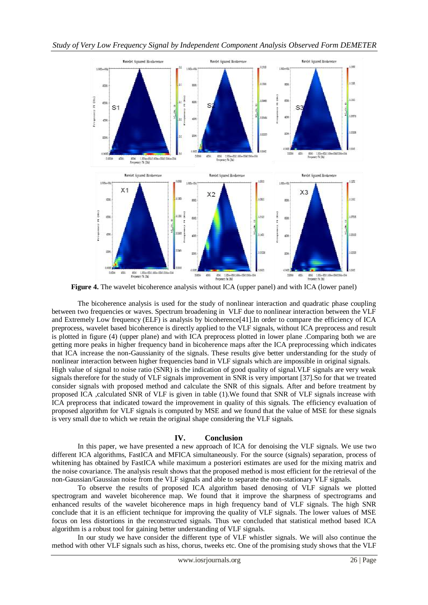

**Figure 4.** The wavelet bicoherence analysis without ICA (upper panel) and with ICA (lower panel)

The bicoherence analysis is used for the study of nonlinear interaction and quadratic phase coupling between two frequencies or waves. Spectrum broadening in VLF due to nonlinear interaction between the VLF and Extremely Low frequency (ELF) is analysis by bicoherence[41].In order to compare the efficiency of ICA preprocess, wavelet based bicoherence is directly applied to the VLF signals, without ICA preprocess and result is plotted in figure (4) (upper plane) and with ICA preprocess plotted in lower plane .Comparing both we are getting more peaks in higher frequency band in bicoherence maps after the ICA preprocessing which indicates that ICA increase the non-Gaussianity of the signals. These results give better understanding for the study of nonlinear interaction between higher frequencies band in VLF signals which are impossible in original signals. High value of signal to noise ratio (SNR) is the indication of good quality of signal.VLF signals are very weak signals therefore for the study of VLF signals improvement in SNR is very important [37].So for that we treated consider signals with proposed method and calculate the SNR of this signals. After and before treatment by proposed ICA ,calculated SNR of VLF is given in table (1).We found that SNR of VLF signals increase with ICA preprocess that indicated toward the improvement in quality of this signals. The efficiency evaluation of proposed algorithm for VLF signals is computed by MSE and we found that the value of MSE for these signals is very small due to which we retain the original shape considering the VLF signals.

## **IV. Conclusion**

In this paper, we have presented a new approach of ICA for denoising the VLF signals. We use two different ICA algorithms, FastICA and MFICA simultaneously. For the source (signals) separation, process of whitening has obtained by FastICA while maximum a posteriori estimates are used for the mixing matrix and the noise covariance. The analysis result shows that the proposed method is most efficient for the retrieval of the non-Gaussian/Gaussian noise from the VLF signals and able to separate the non-stationary VLF signals.

To observe the results of proposed ICA algorithm based denosing of VLF signals we plotted spectrogram and wavelet bicoherence map. We found that it improve the sharpness of spectrograms and enhanced results of the wavelet bicoherence maps in high frequency band of VLF signals. The high SNR conclude that it is an efficient technique for improving the quality of VLF signals. The lower values of MSE focus on less distortions in the reconstructed signals. Thus we concluded that statistical method based ICA algorithm is a robust tool for gaining better understanding of VLF signals.

In our study we have consider the different type of VLF whistler signals. We will also continue the method with other VLF signals such as hiss, chorus, tweeks etc. One of the promising study shows that the VLF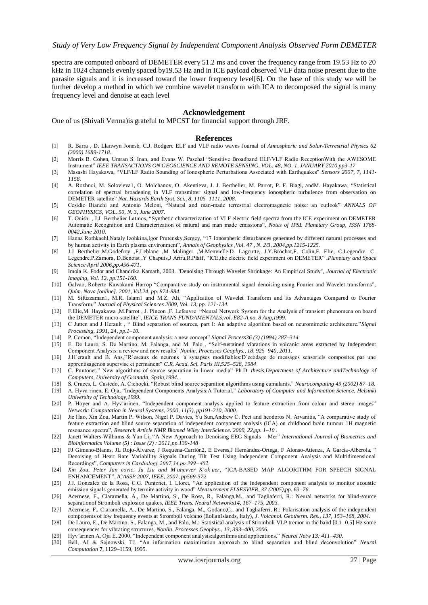spectra are computed onboard of DEMETER every 51.2 ms and cover the frequency range from 19.53 Hz to 20 kHz in 1024 channels evenly spaced by19.53 Hz and in ICE payload observed VLF data noise present due to the parasite signals and it is increased toward the lower frequency level[6]. On the base of this study we will be further develop a method in which we combine wavelet transform with ICA to decomposed the signal is many frequency level and denoise at each level

#### **Acknowledgement**

One of us (Shivali Verma)is grateful to MPCST for financial support through JRF.

#### **References**

- [1] R. Barra , D. Llanwyn Jonesb, C.J. Rodgerc ELF and VLF radio waves Journal of *Atmospheric and Solar-Terrestrial Physics 62 (2000) 1689-1718.*
- [2] Morris B. Cohen, Umran S. Inan, and Evans W. Paschal "Sensitive Broadband ELF/VLF Radio ReceptionWith the AWESOME Instrument" *IEEE TRANSACTIONS ON GEOSCIENCE AND REMOTE SENSING, VOL. 48, NO. 1, JANUARY 2010 pp3-17*
- [3] Masashi Hayakawa, "VLF/LF Radio Sounding of Ionospheric Perturbations Associated with Earthquakes" *Sensors 2007, 7, 1141- 1158.*
- [4] A. Rozhnoi, M. Solovieva1, O. Molchanov, O. Akentieva, J. J. Berthelier, M. Parrot, P. F. Biagi, andM. Hayakawa, "Statistical correlation of spectral broadening in VLF transmitter signal and low-frequency ionospheric turbulence from observation on DEMETER satellite" *Nat. Hazards Earth Syst. Sci., 8, 1105–1111, 2008.*
- [5] Cesidio Bianchi and Antonio Meloni, "Natural and man-made terrestrial electromagnetic noise: an outlook" *ANNALS OF GEOPHYSICS, VOL. 50, N. 3, June 2007.*
- [6] T. Onishi , J.J Berthelier Latmos, "Synthetic characterization of VLF electric field spectra from the ICE experiment on DEMETER Automatic Recognition and Characterization of natural and man made emissions", *Notes of IPSL Planetary Group, ISSN 1768- 0042,June 2010.*
- [7] Hanna Rothkaehl,Nataly Izohkina,Igor Prutensky,Sergey, "17 Ionospheric disturbances generated by different natural processes and by human activity in Earth plasma environment", *Annals of Geophysics ,Vol. 47 , N. 2/3, 2004,pp.1215-1225.*
- [8] J.J Berthelier,M.Godefroy ,F.Leblanc ,M Malinger ,M.Menvielle.D. Lagoutte, J.Y.Brochot,F. Colin,F. Elie, C.Legendre, C. Legendre,P.Zamora, D.Benoist ,Y Chapuis,J Artru,R.Pfaff, "ICE,the electric field experiment on DEMETER" ,*Planetary and Space Science April 2006,pp.456-471.*
- [9] Imola K. Fodor and Chandrika Kamath, 2003. "Denoising Through Wavelet Shrinkage: An Empirical Study", *Journal of Electronic Imaging, Vol. 12, pp.151-160.*
- [10] Galvao, Roberto Kawakami Harrop "Comparative study on instrumental signal denoising using Fourier and Wavelet transforms", *Quím. Nova [online]. 2001, Vol.24, pp. 874-884.*
- [11] M. Sifuzzaman1, M.R. Islam1 and M.Z. Ali, "Application of Wavelet Transform and its Advantages Compared to Fourier Transform," *Journal of Physical Sciences 2009, Vol. 13, pp. 121-134.*
- [12] F.Elie,M. Hayakawa ,M.Parrot , J. Pincon ,F. Lefeuvre "Neural Network System for the Analysis of transient phenomena on boar d the DEMETER micro-satellite", *IEICE TRANS FUNDAMENTALS,vol. E82-A,no. 8 Aug,1999.*
- [13] C Jutten and J Herault , " Blind separation of sources, part I: An adaptive algorithm based on neuromimetic architecture."*Signal Processing, 1991, 24, pp.1–10.*
- [14] P. Comon, "Independent component analysis: a new concept" *Signal Process36 (3) (1994) 287–314.*
- [15] E. De Lauro, S. De Martino, M. Falanga, and M. Palo , "Self-sustained vibrations in volcanic areas extracted by Independent Component Analysis: a review and new results" *Nonlin. Processes Geophys., 18, 925–940, 2011.*
- [16] J.H´erault and B. Ans,''R´eseaux de neurons ´a synapses modifiables:D´ecodage de messages sensoriels composites par une apprentisagenon supervise et permanent" *C.R. Acad. Sci. Paris III,525–528, 1984*
- [17] C. Puntonet," New algorithms of source separation in linear media" Ph.D. *thesis,Department of Architecture andTechnology of Computers, University of Granada, Spain,1994.*
- [18] S. Cruces, L. Castedo, A. Cichocki, "Robust blind source separation algorithms using cumulants," *Neurocomputing 49 (2002) 87–18.*
- [19] A. Hyva¨rinen, E. Oja, "Independent Components Analysis:A Tutorial," *Laboratory of Computer and Information Science, Helsinki University of Technology,1999.*
- [20] P. Hoyer and A. Hyv¨arinen, "Independent component analysis applied to feature extraction from colour and stereo images" *Network: Computation in Neural Systems, 2000, 11(3), pp191-210, 2000.*
- [21] Jie Hao, Xin Zou, Martin P. Wilson, Nigel P. Davies, Yu Sun,Andrew C. Peet and heodoros N. Arvanitis, "A comparative study of feature extraction and blind source separation of independent component analysis (ICA) on childhood brain tumour 1H magnetic resonance spectra", *Research Article NMR Biomed Wiley InterScience. 2009, 22,pp. 1–10* .
- [22] Janett Walters-Williams & Yan Li, "A New Approach to Denoising EEG Signals Mer" *International Journal of Biometrics and Bioinformatics Volume (5) : Issue (2) : 2011,pp.130-148*
- [23] FJ Gimeno-Blanes, JL Rojo-Álvarez, J Requena-Carrión2, E Everss,J Hernández-Ortega, F Alonso-Atienza, A García-Alberola, " Denoising of Heart Rate Variability Signals During Tilt Test Using Independent Component Analysis and Multidimensional Recordings", *Computers in Cardiology 2007,34,pp.399−402.*
- [24] *Xin Zou, Peter Jan covic, Ju Liu and M¨unevver K¨ok¨uer*, "ICA-BASED MAP ALGORITHM FOR SPEECH SIGNAL ENHANCEMENT", *ICASSP 2007, IEEE, 2007, pp569-572*
- [25] J.J. Gonzalez de la Rosa, C.G. Puntonet, I. Lloret, "An application of the independent component analysis to monitor acoustic emission signals generated by termite activity in wood" *Measurement ELSESVIER, 37 (2005),pp. 63–76.*
- [26] Acernese, F., Ciaramella, A., De Martino, S., De Rosa, R., Falanga,M., and Tagliaferri, R.: Neural networks for blind-source separationof Stromboli explosion quakes, *IEEE Trans. Neural Networks14, 167–175, 2003.*
- [27] Acernese, F., Ciaramella, A., De Martino, S., Falanga, M., Godano,C., and Tagliaferri, R.: Polarisation analysis of the independent components of low frequency events at Stromboli volcano (EolianIslands, Italy), *J. Volcanol. Geotherm. Res., 137, 153–168, 2004.*
- [28] De Lauro, E., De Martino, S., Falanga, M., and Palo, M.: Statistical analysis of Stromboli VLP tremor in the band [0.1–0.5] Hz:some consequences for vibrating structures, *Nonlin. Processes Geophys., 13, 393–400, 2006.*
- [29] Hyv¨arinen A, Oja E. 2000. "Independent component analysis:algorithms and applications." *Neural Netw 13: 411–430.*
- [30] Bell, AJ & Sejnowski, TJ. "An information maximization approach to blind separation and blind deconvolution" *Neural Computation* **7**, 1129–1159, 1995.